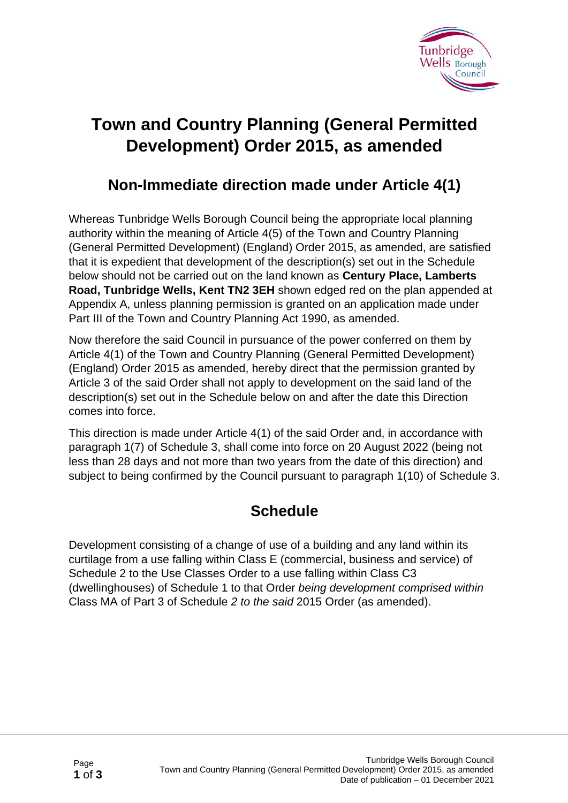

## **Town and Country Planning (General Permitted Development) Order 2015, as amended**

## **Non-Immediate direction made under Article 4(1)**

Whereas Tunbridge Wells Borough Council being the appropriate local planning authority within the meaning of Article 4(5) of the Town and Country Planning (General Permitted Development) (England) Order 2015, as amended, are satisfied that it is expedient that development of the description(s) set out in the Schedule below should not be carried out on the land known as **Century Place, Lamberts Road, Tunbridge Wells, Kent TN2 3EH** shown edged red on the plan appended at Appendix A, unless planning permission is granted on an application made under Part III of the Town and Country Planning Act 1990, as amended.

Now therefore the said Council in pursuance of the power conferred on them by Article 4(1) of the Town and Country Planning (General Permitted Development) (England) Order 2015 as amended, hereby direct that the permission granted by Article 3 of the said Order shall not apply to development on the said land of the description(s) set out in the Schedule below on and after the date this Direction comes into force.

This direction is made under Article 4(1) of the said Order and, in accordance with paragraph 1(7) of Schedule 3, shall come into force on 20 August 2022 (being not less than 28 days and not more than two years from the date of this direction) and subject to being confirmed by the Council pursuant to paragraph 1(10) of Schedule 3.

## **Schedule**

Development consisting of a change of use of a building and any land within its curtilage from a use falling within Class E (commercial, business and service) of Schedule 2 to the Use Classes Order to a use falling within Class C3 (dwellinghouses) of Schedule 1 to that Order *being development comprised within*  Class MA of Part 3 of Schedule *2 to the said* 2015 Order (as amended).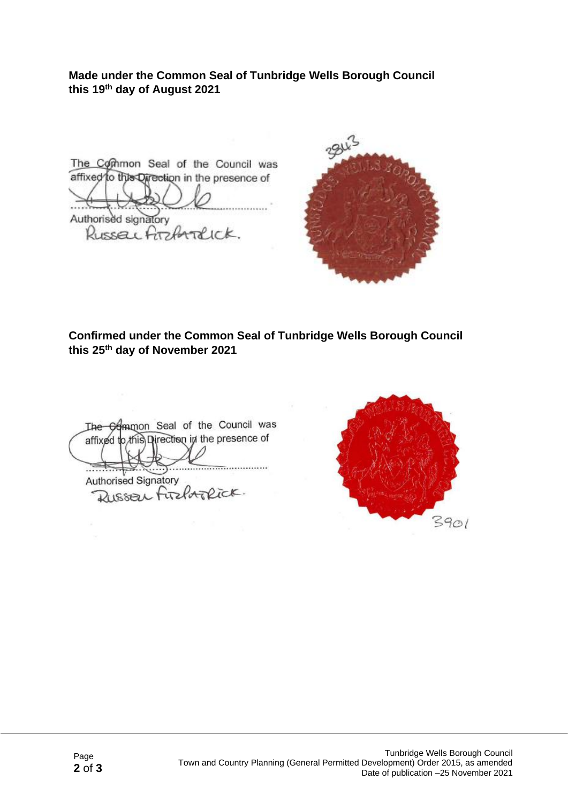**Made under the Common Seal of Tunbridge Wells Borough Council this 19th day of August 2021**

The Common Seal of the Council was affixed to this Direction in the presence of Authorised signatory Russell Archardick.



**Confirmed under the Common Seal of Tunbridge Wells Borough Council this 25th day of November 2021**

The **Gommon** Seal of the Council was affixed to this Direction in the presence of Authorised Signatory Russer Firehoplick.